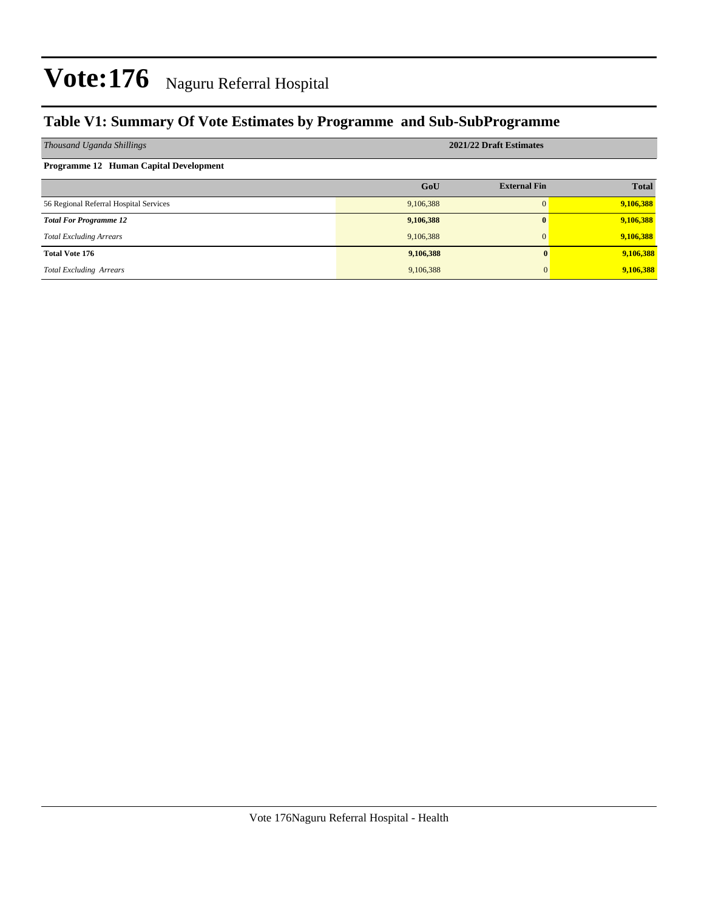### **Table V1: Summary Of Vote Estimates by Programme and Sub-SubProgramme**

| Thousand Uganda Shillings              | 2021/22 Draft Estimates |                     |              |  |  |  |  |  |  |  |
|----------------------------------------|-------------------------|---------------------|--------------|--|--|--|--|--|--|--|
| Programme 12 Human Capital Development |                         |                     |              |  |  |  |  |  |  |  |
|                                        | GoU                     | <b>External Fin</b> | <b>Total</b> |  |  |  |  |  |  |  |
| 56 Regional Referral Hospital Services | 9,106,388               | $\Omega$            | 9,106,388    |  |  |  |  |  |  |  |
| <b>Total For Programme 12</b>          | 9,106,388               | $\mathbf{0}$        | 9,106,388    |  |  |  |  |  |  |  |
| <b>Total Excluding Arrears</b>         | 9,106,388               | $\Omega$            | 9,106,388    |  |  |  |  |  |  |  |
| <b>Total Vote 176</b>                  | 9,106,388               |                     | 9,106,388    |  |  |  |  |  |  |  |
| <b>Total Excluding Arrears</b>         | 9,106,388               |                     | 9,106,388    |  |  |  |  |  |  |  |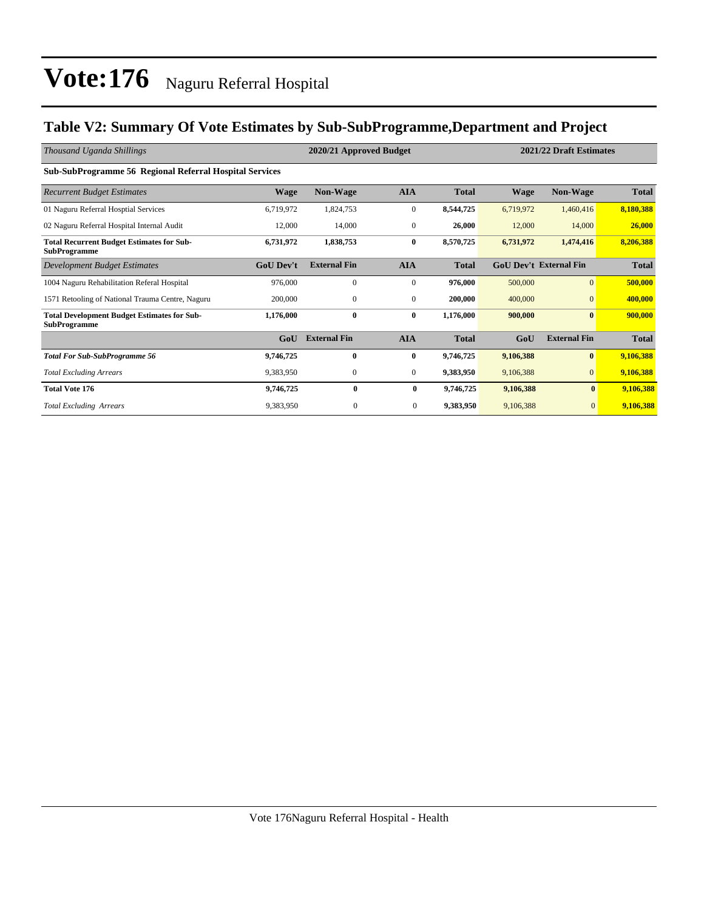### **Table V2: Summary Of Vote Estimates by Sub-SubProgramme,Department and Project**

| Thousand Uganda Shillings                                                 |                  | 2020/21 Approved Budget | 2021/22 Draft Estimates |              |           |                               |              |
|---------------------------------------------------------------------------|------------------|-------------------------|-------------------------|--------------|-----------|-------------------------------|--------------|
| <b>Sub-SubProgramme 56 Regional Referral Hospital Services</b>            |                  |                         |                         |              |           |                               |              |
| <b>Recurrent Budget Estimates</b>                                         | <b>Wage</b>      | <b>Non-Wage</b>         | <b>AIA</b>              | <b>Total</b> | Wage      | <b>Non-Wage</b>               | <b>Total</b> |
| 01 Naguru Referral Hosptial Services                                      | 6,719,972        | 1,824,753               | $\mathbf{0}$            | 8,544,725    | 6,719,972 | 1,460,416                     | 8,180,388    |
| 02 Naguru Referral Hospital Internal Audit                                | 12,000           | 14,000                  | $\mathbf{0}$            | 26,000       | 12,000    | 14,000                        | 26,000       |
| <b>Total Recurrent Budget Estimates for Sub-</b><br><b>SubProgramme</b>   | 6,731,972        | 1,838,753               | $\bf{0}$                | 8,570,725    | 6,731,972 | 1,474,416                     | 8,206,388    |
| Development Budget Estimates                                              | <b>GoU Dev't</b> | <b>External Fin</b>     | <b>AIA</b>              | <b>Total</b> |           | <b>GoU Dev't External Fin</b> | <b>Total</b> |
| 1004 Naguru Rehabilitation Referal Hospital                               | 976,000          | $\mathbf{0}$            | $\mathbf{0}$            | 976,000      | 500,000   | $\overline{0}$                | 500,000      |
| 1571 Retooling of National Trauma Centre, Naguru                          | 200,000          | $\mathbf{0}$            | $\mathbf{0}$            | 200,000      | 400,000   | $\Omega$                      | 400,000      |
| <b>Total Development Budget Estimates for Sub-</b><br><b>SubProgramme</b> | 1,176,000        | $\bf{0}$                | $\bf{0}$                | 1,176,000    | 900,000   | $\bf{0}$                      | 900,000      |
|                                                                           | GoU              | <b>External Fin</b>     | <b>AIA</b>              | <b>Total</b> | GoU       | <b>External Fin</b>           | <b>Total</b> |
| <b>Total For Sub-SubProgramme 56</b>                                      | 9,746,725        | $\bf{0}$                | $\bf{0}$                | 9,746,725    | 9,106,388 | $\bf{0}$                      | 9,106,388    |
| <b>Total Excluding Arrears</b>                                            | 9,383,950        | $\mathbf{0}$            | $\overline{0}$          | 9,383,950    | 9,106,388 | $\mathbf{0}$                  | 9,106,388    |
| <b>Total Vote 176</b>                                                     | 9,746,725        | $\bf{0}$                | $\bf{0}$                | 9,746,725    | 9,106,388 | $\mathbf{0}$                  | 9,106,388    |
| <b>Total Excluding Arrears</b>                                            | 9,383,950        | $\overline{0}$          | $\mathbf{0}$            | 9,383,950    | 9,106,388 | $\mathbf{0}$                  | 9,106,388    |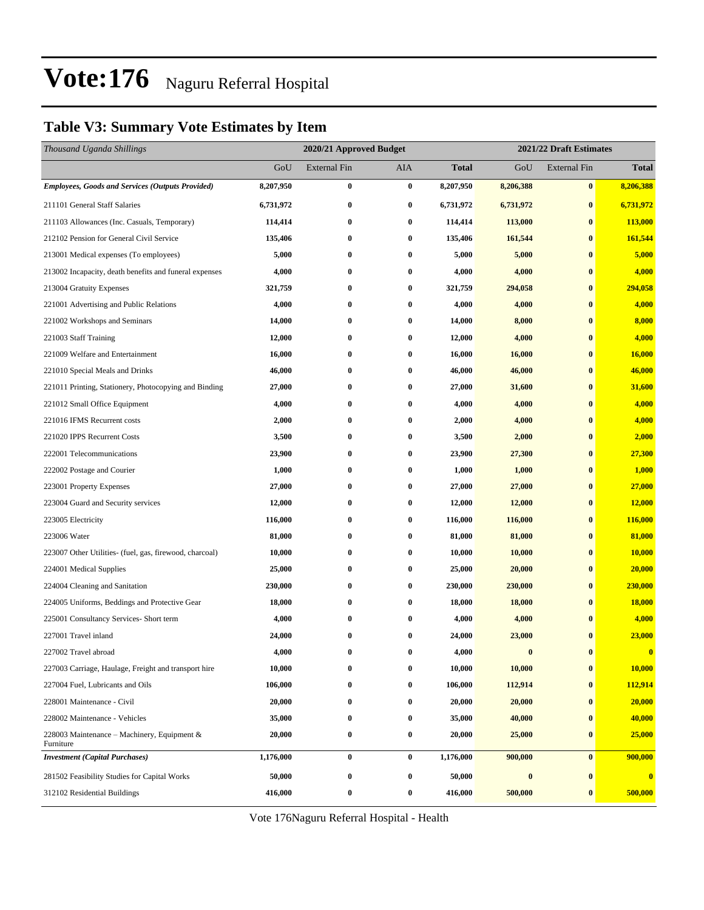#### **Table V3: Summary Vote Estimates by Item**

| Thousand Uganda Shillings                                |           | 2020/21 Approved Budget<br>2021/22 Draft Estimates |                  |              |           |                     |               |
|----------------------------------------------------------|-----------|----------------------------------------------------|------------------|--------------|-----------|---------------------|---------------|
|                                                          | GoU       | <b>External Fin</b>                                | AIA              | <b>Total</b> | GoU       | <b>External Fin</b> | <b>Total</b>  |
| <b>Employees, Goods and Services (Outputs Provided)</b>  | 8,207,950 | $\bf{0}$                                           | $\bf{0}$         | 8,207,950    | 8,206,388 | $\bf{0}$            | 8,206,388     |
| 211101 General Staff Salaries                            | 6,731,972 | $\bf{0}$                                           | 0                | 6,731,972    | 6,731,972 | $\bf{0}$            | 6,731,972     |
| 211103 Allowances (Inc. Casuals, Temporary)              | 114,414   | $\bf{0}$                                           | $\boldsymbol{0}$ | 114,414      | 113,000   | $\bf{0}$            | 113,000       |
| 212102 Pension for General Civil Service                 | 135,406   | $\bf{0}$                                           | $\bf{0}$         | 135,406      | 161,544   | $\bf{0}$            | 161,544       |
| 213001 Medical expenses (To employees)                   | 5,000     | $\bf{0}$                                           | 0                | 5,000        | 5,000     | $\bf{0}$            | 5,000         |
| 213002 Incapacity, death benefits and funeral expenses   | 4,000     | $\bf{0}$                                           | 0                | 4,000        | 4,000     | $\bf{0}$            | 4,000         |
| 213004 Gratuity Expenses                                 | 321,759   | $\bf{0}$                                           | 0                | 321,759      | 294,058   | $\bf{0}$            | 294,058       |
| 221001 Advertising and Public Relations                  | 4,000     | $\bf{0}$                                           | 0                | 4,000        | 4,000     | $\bf{0}$            | 4,000         |
| 221002 Workshops and Seminars                            | 14,000    | $\bf{0}$                                           | 0                | 14,000       | 8,000     | $\bf{0}$            | 8,000         |
| 221003 Staff Training                                    | 12,000    | $\bf{0}$                                           | 0                | 12,000       | 4,000     | $\bf{0}$            | 4,000         |
| 221009 Welfare and Entertainment                         | 16,000    | $\bf{0}$                                           | 0                | 16,000       | 16,000    | $\bf{0}$            | 16,000        |
| 221010 Special Meals and Drinks                          | 46,000    | $\bf{0}$                                           | 0                | 46,000       | 46,000    | $\bf{0}$            | 46,000        |
| 221011 Printing, Stationery, Photocopying and Binding    | 27,000    | $\bf{0}$                                           | 0                | 27,000       | 31,600    | $\bf{0}$            | 31,600        |
| 221012 Small Office Equipment                            | 4,000     | $\bf{0}$                                           | 0                | 4,000        | 4,000     | $\bf{0}$            | 4,000         |
| 221016 IFMS Recurrent costs                              | 2,000     | $\bf{0}$                                           | 0                | 2,000        | 4,000     | $\bf{0}$            | 4,000         |
| 221020 IPPS Recurrent Costs                              | 3,500     | $\bf{0}$                                           | 0                | 3,500        | 2,000     | $\bf{0}$            | 2,000         |
| 222001 Telecommunications                                | 23,900    | $\bf{0}$                                           | 0                | 23,900       | 27,300    | $\bf{0}$            | 27,300        |
| 222002 Postage and Courier                               | 1,000     | $\bf{0}$                                           | 0                | 1,000        | 1,000     | $\bf{0}$            | 1,000         |
| 223001 Property Expenses                                 | 27,000    | $\bf{0}$                                           | 0                | 27,000       | 27,000    | $\bf{0}$            | 27,000        |
| 223004 Guard and Security services                       | 12,000    | $\bf{0}$                                           | 0                | 12,000       | 12,000    | $\bf{0}$            | <b>12,000</b> |
| 223005 Electricity                                       | 116,000   | $\bf{0}$                                           | 0                | 116,000      | 116,000   | $\bf{0}$            | 116,000       |
| 223006 Water                                             | 81,000    | $\bf{0}$                                           | $\bf{0}$         | 81,000       | 81,000    | $\bf{0}$            | 81,000        |
| 223007 Other Utilities- (fuel, gas, firewood, charcoal)  | 10,000    | $\bf{0}$                                           | 0                | 10,000       | 10,000    | $\bf{0}$            | <b>10,000</b> |
| 224001 Medical Supplies                                  | 25,000    | $\bf{0}$                                           | 0                | 25,000       | 20,000    | $\bf{0}$            | 20,000        |
| 224004 Cleaning and Sanitation                           | 230,000   | $\bf{0}$                                           | 0                | 230,000      | 230,000   | $\bf{0}$            | 230,000       |
| 224005 Uniforms, Beddings and Protective Gear            | 18,000    | $\bf{0}$                                           | 0                | 18,000       | 18,000    | $\bf{0}$            | 18,000        |
| 225001 Consultancy Services- Short term                  | 4,000     | $\bf{0}$                                           | 0                | 4,000        | 4,000     | $\bf{0}$            | 4,000         |
| 227001 Travel inland                                     | 24,000    | $\bf{0}$                                           | 0                | 24,000       | 23,000    | $\bf{0}$            | 23,000        |
| 227002 Travel abroad                                     | 4,000     | 0                                                  |                  | 4,000        | $\bf{0}$  | $\mathbf{0}$        | $\mathbf{0}$  |
| 227003 Carriage, Haulage, Freight and transport hire     | 10,000    | $\bf{0}$                                           | 0                | 10,000       | 10,000    | $\boldsymbol{0}$    | 10,000        |
| 227004 Fuel, Lubricants and Oils                         | 106,000   | $\bf{0}$                                           | 0                | 106,000      | 112,914   | $\bf{0}$            | 112,914       |
| 228001 Maintenance - Civil                               | 20,000    | $\bf{0}$                                           | 0                | 20,000       | 20,000    | $\bf{0}$            | 20,000        |
| 228002 Maintenance - Vehicles                            | 35,000    | $\bf{0}$                                           | 0                | 35,000       | 40,000    | $\bf{0}$            | 40,000        |
| 228003 Maintenance - Machinery, Equipment &<br>Furniture | 20,000    | $\bf{0}$                                           | 0                | 20,000       | 25,000    | $\bf{0}$            | 25,000        |
| <b>Investment</b> (Capital Purchases)                    | 1,176,000 | $\bf{0}$                                           | $\bf{0}$         | 1,176,000    | 900,000   | $\bf{0}$            | 900,000       |
| 281502 Feasibility Studies for Capital Works             | 50,000    | $\bf{0}$                                           | 0                | 50,000       | $\bf{0}$  | $\bf{0}$            |               |
| 312102 Residential Buildings                             | 416,000   | $\boldsymbol{0}$                                   | 0                | 416,000      | 500,000   | $\bf{0}$            | 500,000       |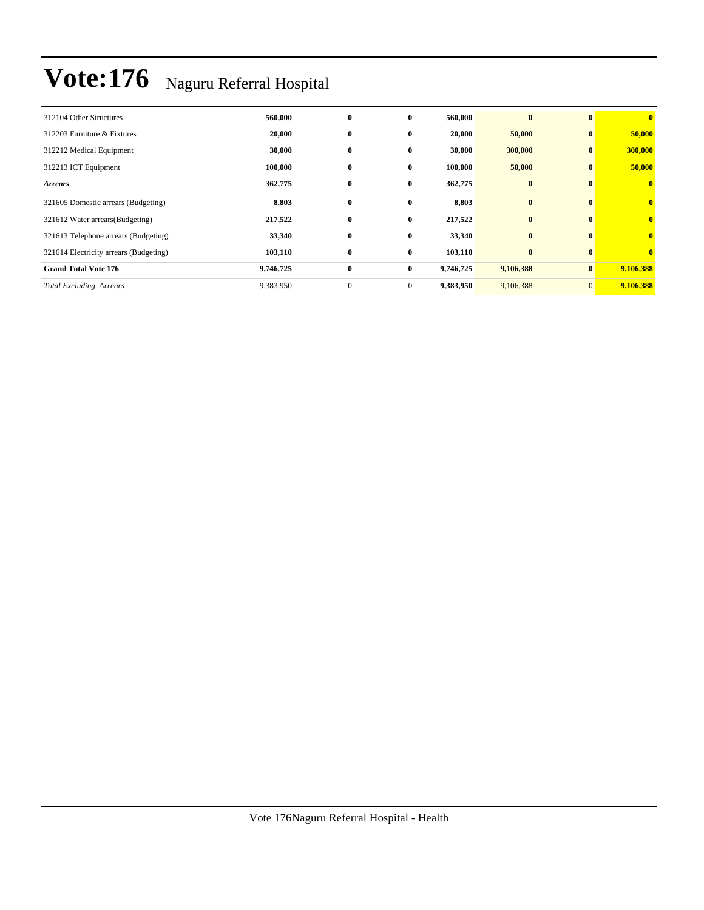| 312104 Other Structures                | 560,000   | $\bf{0}$     | $\bf{0}$     | 560,000   | $\bf{0}$  | $\mathbf{0}$   | $\bf{0}$                |
|----------------------------------------|-----------|--------------|--------------|-----------|-----------|----------------|-------------------------|
| 312203 Furniture & Fixtures            | 20,000    | $\bf{0}$     | $\bf{0}$     | 20,000    | 50,000    | $\bf{0}$       | 50,000                  |
| 312212 Medical Equipment               | 30,000    | $\bf{0}$     | 0            | 30,000    | 300,000   | $\bf{0}$       | 300,000                 |
| 312213 ICT Equipment                   | 100,000   | $\bf{0}$     | $\bf{0}$     | 100,000   | 50,000    | $\bf{0}$       | 50,000                  |
| <b>Arrears</b>                         | 362,775   | $\bf{0}$     | $\bf{0}$     | 362,775   | $\bf{0}$  | $\mathbf{0}$   | $\mathbf{0}$            |
| 321605 Domestic arrears (Budgeting)    | 8,803     | $\bf{0}$     | $\bf{0}$     | 8,803     | $\bf{0}$  | $\bf{0}$       | $\overline{\mathbf{0}}$ |
| 321612 Water arrears(Budgeting)        | 217,522   | $\bf{0}$     | $\bf{0}$     | 217,522   | $\bf{0}$  | $\mathbf{0}$   | $\overline{\mathbf{0}}$ |
| 321613 Telephone arrears (Budgeting)   | 33,340    | $\bf{0}$     | 0            | 33,340    | $\bf{0}$  | $\mathbf{0}$   | $\overline{\mathbf{0}}$ |
| 321614 Electricity arrears (Budgeting) | 103,110   | $\bf{0}$     | $\bf{0}$     | 103,110   | $\bf{0}$  | $\mathbf{0}$   | $\mathbf{0}$            |
| <b>Grand Total Vote 176</b>            | 9,746,725 | $\bf{0}$     | $\bf{0}$     | 9,746,725 | 9,106,388 | $\bf{0}$       | 9,106,388               |
| <b>Total Excluding Arrears</b>         | 9,383,950 | $\mathbf{0}$ | $\mathbf{0}$ | 9,383,950 | 9,106,388 | $\overline{0}$ | 9,106,388               |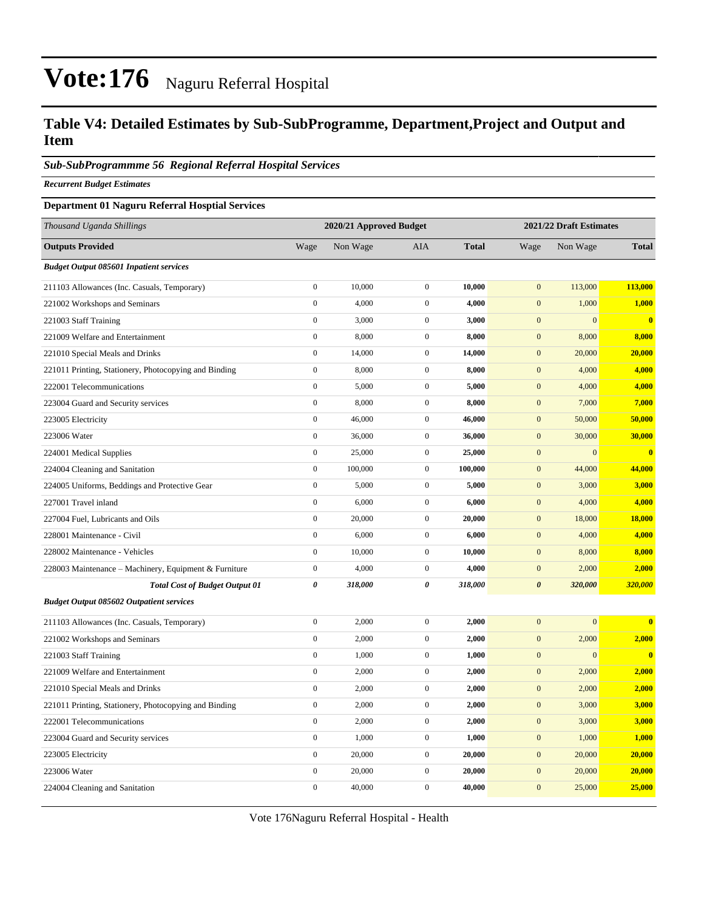#### **Table V4: Detailed Estimates by Sub-SubProgramme, Department,Project and Output and Item**

#### *Sub-SubProgrammme 56 Regional Referral Hospital Services*

*Recurrent Budget Estimates*

#### **Department 01 Naguru Referral Hosptial Services**

| Thousand Uganda Shillings                             |                  | 2020/21 Approved Budget |                       |              |                       | 2021/22 Draft Estimates |                         |  |
|-------------------------------------------------------|------------------|-------------------------|-----------------------|--------------|-----------------------|-------------------------|-------------------------|--|
| <b>Outputs Provided</b>                               | Wage             | Non Wage                | <b>AIA</b>            | <b>Total</b> | Wage                  | Non Wage                | <b>Total</b>            |  |
| <b>Budget Output 085601 Inpatient services</b>        |                  |                         |                       |              |                       |                         |                         |  |
| 211103 Allowances (Inc. Casuals, Temporary)           | $\overline{0}$   | 10,000                  | $\mathbf{0}$          | 10,000       | $\overline{0}$        | 113,000                 | 113,000                 |  |
| 221002 Workshops and Seminars                         | $\boldsymbol{0}$ | 4,000                   | $\boldsymbol{0}$      | 4,000        | $\mathbf{0}$          | 1,000                   | 1,000                   |  |
| 221003 Staff Training                                 | $\boldsymbol{0}$ | 3,000                   | $\boldsymbol{0}$      | 3,000        | $\boldsymbol{0}$      | $\overline{0}$          | $\bf{0}$                |  |
| 221009 Welfare and Entertainment                      | $\boldsymbol{0}$ | 8,000                   | $\mathbf{0}$          | 8,000        | $\mathbf{0}$          | 8,000                   | 8,000                   |  |
| 221010 Special Meals and Drinks                       | $\boldsymbol{0}$ | 14,000                  | $\boldsymbol{0}$      | 14,000       | $\boldsymbol{0}$      | 20,000                  | 20,000                  |  |
| 221011 Printing, Stationery, Photocopying and Binding | $\boldsymbol{0}$ | 8,000                   | $\mathbf{0}$          | 8,000        | $\mathbf{0}$          | 4,000                   | 4,000                   |  |
| 222001 Telecommunications                             | $\boldsymbol{0}$ | 5,000                   | $\boldsymbol{0}$      | 5,000        | $\boldsymbol{0}$      | 4,000                   | 4,000                   |  |
| 223004 Guard and Security services                    | $\boldsymbol{0}$ | 8,000                   | $\mathbf{0}$          | 8,000        | $\mathbf{0}$          | 7,000                   | 7,000                   |  |
| 223005 Electricity                                    | $\boldsymbol{0}$ | 46,000                  | $\boldsymbol{0}$      | 46,000       | $\boldsymbol{0}$      | 50,000                  | 50,000                  |  |
| 223006 Water                                          | $\boldsymbol{0}$ | 36,000                  | $\boldsymbol{0}$      | 36,000       | $\mathbf{0}$          | 30,000                  | 30,000                  |  |
| 224001 Medical Supplies                               | $\boldsymbol{0}$ | 25,000                  | $\mathbf{0}$          | 25,000       | $\mathbf{0}$          | $\mathbf{0}$            | $\bf{0}$                |  |
| 224004 Cleaning and Sanitation                        | $\overline{0}$   | 100,000                 | $\boldsymbol{0}$      | 100,000      | $\mathbf{0}$          | 44,000                  | 44,000                  |  |
| 224005 Uniforms, Beddings and Protective Gear         | $\boldsymbol{0}$ | 5,000                   | $\mathbf{0}$          | 5,000        | $\mathbf{0}$          | 3,000                   | 3,000                   |  |
| 227001 Travel inland                                  | $\boldsymbol{0}$ | 6,000                   | $\boldsymbol{0}$      | 6,000        | $\boldsymbol{0}$      | 4,000                   | 4,000                   |  |
| 227004 Fuel, Lubricants and Oils                      | $\boldsymbol{0}$ | 20,000                  | $\mathbf{0}$          | 20,000       | $\mathbf{0}$          | 18,000                  | 18,000                  |  |
| 228001 Maintenance - Civil                            | $\boldsymbol{0}$ | 6,000                   | $\boldsymbol{0}$      | 6,000        | $\boldsymbol{0}$      | 4,000                   | 4,000                   |  |
| 228002 Maintenance - Vehicles                         | $\boldsymbol{0}$ | 10,000                  | $\mathbf{0}$          | 10,000       | $\mathbf{0}$          | 8,000                   | 8,000                   |  |
| 228003 Maintenance - Machinery, Equipment & Furniture | $\boldsymbol{0}$ | 4,000                   | $\mathbf{0}$          | 4,000        | $\boldsymbol{0}$      | 2,000                   | 2,000                   |  |
| <b>Total Cost of Budget Output 01</b>                 | $\theta$         | 318,000                 | $\boldsymbol{\theta}$ | 318,000      | $\boldsymbol{\theta}$ | 320,000                 | 320,000                 |  |
| <b>Budget Output 085602 Outpatient services</b>       |                  |                         |                       |              |                       |                         |                         |  |
| 211103 Allowances (Inc. Casuals, Temporary)           | $\boldsymbol{0}$ | 2,000                   | $\mathbf{0}$          | 2,000        | $\mathbf{0}$          | $\mathbf{0}$            | $\overline{\mathbf{0}}$ |  |
| 221002 Workshops and Seminars                         | $\boldsymbol{0}$ | 2,000                   | $\boldsymbol{0}$      | 2,000        | $\boldsymbol{0}$      | 2,000                   | 2,000                   |  |
| 221003 Staff Training                                 | $\overline{0}$   | 1,000                   | $\mathbf{0}$          | 1,000        | $\boldsymbol{0}$      | $\overline{0}$          | $\bf{0}$                |  |
| 221009 Welfare and Entertainment                      | $\boldsymbol{0}$ | 2,000                   | $\boldsymbol{0}$      | 2,000        | $\mathbf{0}$          | 2,000                   | 2,000                   |  |
| 221010 Special Meals and Drinks                       | $\boldsymbol{0}$ | 2,000                   | $\boldsymbol{0}$      | 2,000        | $\boldsymbol{0}$      | 2,000                   | 2,000                   |  |
| 221011 Printing, Stationery, Photocopying and Binding | $\boldsymbol{0}$ | 2,000                   | $\boldsymbol{0}$      | 2,000        | $\mathbf{0}$          | 3,000                   | 3,000                   |  |
| 222001 Telecommunications                             | $\boldsymbol{0}$ | 2,000                   | $\boldsymbol{0}$      | 2,000        | $\boldsymbol{0}$      | 3,000                   | 3,000                   |  |
| 223004 Guard and Security services                    | $\boldsymbol{0}$ | 1,000                   | $\mathbf{0}$          | 1,000        | $\mathbf{0}$          | 1,000                   | 1,000                   |  |
| 223005 Electricity                                    | $\boldsymbol{0}$ | 20,000                  | $\mathbf{0}$          | 20,000       | $\boldsymbol{0}$      | 20,000                  | 20,000                  |  |
| 223006 Water                                          | $\boldsymbol{0}$ | 20,000                  | $\mathbf{0}$          | 20,000       | $\mathbf{0}$          | 20,000                  | 20,000                  |  |
| 224004 Cleaning and Sanitation                        | $\boldsymbol{0}$ | 40,000                  | $\boldsymbol{0}$      | 40,000       | $\mathbf{0}$          | 25,000                  | 25,000                  |  |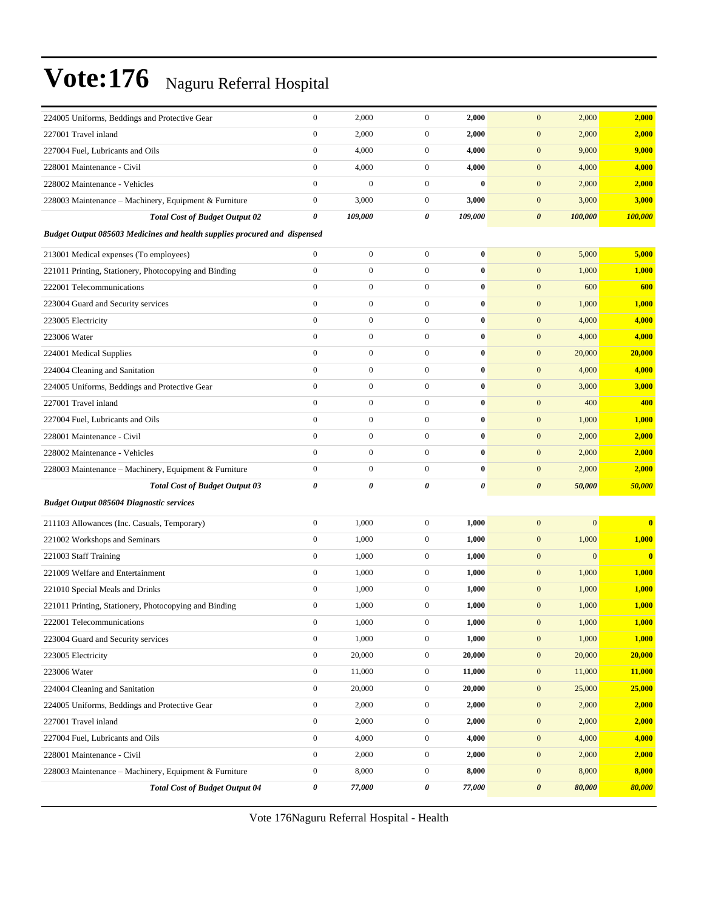| 224005 Uniforms, Beddings and Protective Gear                                    | $\boldsymbol{0}$      | 2,000            | $\mathbf{0}$     | 2,000    | $\boldsymbol{0}$<br>2,000        | 2,000                   |
|----------------------------------------------------------------------------------|-----------------------|------------------|------------------|----------|----------------------------------|-------------------------|
| 227001 Travel inland                                                             | $\boldsymbol{0}$      | 2,000            | $\boldsymbol{0}$ | 2,000    | $\boldsymbol{0}$<br>2,000        | 2,000                   |
| 227004 Fuel, Lubricants and Oils                                                 | $\boldsymbol{0}$      | 4,000            | $\boldsymbol{0}$ | 4,000    | $\boldsymbol{0}$<br>9,000        | 9,000                   |
| 228001 Maintenance - Civil                                                       | $\boldsymbol{0}$      | 4,000            | $\mathbf{0}$     | 4,000    | $\boldsymbol{0}$<br>4,000        | 4,000                   |
| 228002 Maintenance - Vehicles                                                    | $\boldsymbol{0}$      | $\mathbf{0}$     | $\mathbf{0}$     | $\bf{0}$ | $\boldsymbol{0}$<br>2,000        | 2,000                   |
| 228003 Maintenance - Machinery, Equipment & Furniture                            | $\boldsymbol{0}$      | 3,000            | $\mathbf{0}$     | 3,000    | $\boldsymbol{0}$<br>3,000        | 3,000                   |
| <b>Total Cost of Budget Output 02</b>                                            | 0                     | 109,000          | 0                | 109,000  | $\pmb{\theta}$<br>100,000        | 100,000                 |
| <b>Budget Output 085603 Medicines and health supplies procured and dispensed</b> |                       |                  |                  |          |                                  |                         |
| 213001 Medical expenses (To employees)                                           | $\boldsymbol{0}$      | $\boldsymbol{0}$ | $\boldsymbol{0}$ | $\bf{0}$ | $\boldsymbol{0}$<br>5,000        | 5,000                   |
| 221011 Printing, Stationery, Photocopying and Binding                            | $\boldsymbol{0}$      | $\boldsymbol{0}$ | $\boldsymbol{0}$ | $\bf{0}$ | $\boldsymbol{0}$<br>1,000        | 1,000                   |
| 222001 Telecommunications                                                        | $\boldsymbol{0}$      | $\boldsymbol{0}$ | $\boldsymbol{0}$ | $\bf{0}$ | $\mathbf{0}$<br>600              | 600                     |
| 223004 Guard and Security services                                               | $\boldsymbol{0}$      | $\boldsymbol{0}$ | $\boldsymbol{0}$ | $\bf{0}$ | $\mathbf{0}$<br>1,000            | 1,000                   |
| 223005 Electricity                                                               | $\boldsymbol{0}$      | $\boldsymbol{0}$ | $\boldsymbol{0}$ | $\bf{0}$ | $\boldsymbol{0}$<br>4,000        | 4,000                   |
| 223006 Water                                                                     | $\mathbf{0}$          | $\boldsymbol{0}$ | $\mathbf{0}$     | $\bf{0}$ | $\boldsymbol{0}$<br>4,000        | 4,000                   |
| 224001 Medical Supplies                                                          | $\mathbf{0}$          | $\boldsymbol{0}$ | $\boldsymbol{0}$ | $\bf{0}$ | $\boldsymbol{0}$<br>20,000       | 20,000                  |
| 224004 Cleaning and Sanitation                                                   | $\boldsymbol{0}$      | $\boldsymbol{0}$ | $\boldsymbol{0}$ | $\bf{0}$ | $\boldsymbol{0}$<br>4,000        | 4,000                   |
| 224005 Uniforms, Beddings and Protective Gear                                    | $\boldsymbol{0}$      | $\boldsymbol{0}$ | $\boldsymbol{0}$ | $\bf{0}$ | $\boldsymbol{0}$<br>3,000        | 3,000                   |
| 227001 Travel inland                                                             | $\mathbf{0}$          | $\boldsymbol{0}$ | $\boldsymbol{0}$ | $\bf{0}$ | $\mathbf{0}$<br>400              | 400                     |
| 227004 Fuel, Lubricants and Oils                                                 | $\mathbf{0}$          | $\boldsymbol{0}$ | $\boldsymbol{0}$ | $\bf{0}$ | $\mathbf{0}$<br>1,000            | 1,000                   |
| 228001 Maintenance - Civil                                                       | $\mathbf{0}$          | $\boldsymbol{0}$ | $\boldsymbol{0}$ | $\bf{0}$ | $\boldsymbol{0}$<br>2,000        | 2,000                   |
| 228002 Maintenance - Vehicles                                                    | $\boldsymbol{0}$      | $\boldsymbol{0}$ | $\boldsymbol{0}$ | $\bf{0}$ | $\mathbf{0}$<br>2,000            | 2,000                   |
| 228003 Maintenance - Machinery, Equipment & Furniture                            | $\boldsymbol{0}$      | $\boldsymbol{0}$ | $\boldsymbol{0}$ | $\bf{0}$ | $\boldsymbol{0}$<br>2,000        | 2,000                   |
| <b>Total Cost of Budget Output 03</b>                                            | $\boldsymbol{\theta}$ | 0                | 0                | 0        | $\pmb{\theta}$<br>50,000         | 50,000                  |
| <b>Budget Output 085604 Diagnostic services</b>                                  |                       |                  |                  |          |                                  |                         |
| 211103 Allowances (Inc. Casuals, Temporary)                                      | $\boldsymbol{0}$      | 1,000            | $\boldsymbol{0}$ | 1,000    | $\mathbf{0}$<br>$\mathbf{0}$     | $\bf{0}$                |
| 221002 Workshops and Seminars                                                    | $\mathbf{0}$          | 1,000            | $\boldsymbol{0}$ | 1,000    | $\mathbf{0}$<br>1,000            | 1,000                   |
| 221003 Staff Training                                                            | $\boldsymbol{0}$      | 1,000            | $\mathbf{0}$     | 1,000    | $\mathbf{0}$<br>$\boldsymbol{0}$ | $\overline{\mathbf{0}}$ |
| 221009 Welfare and Entertainment                                                 | $\boldsymbol{0}$      | 1,000            | $\mathbf{0}$     | 1,000    | $\boldsymbol{0}$<br>1,000        | 1,000                   |
| 221010 Special Meals and Drinks                                                  | $\boldsymbol{0}$      | 1,000            | $\boldsymbol{0}$ | 1,000    | $\boldsymbol{0}$<br>1,000        | 1,000                   |
| 221011 Printing, Stationery, Photocopying and Binding                            | $\boldsymbol{0}$      | 1,000            | $\mathbf{0}$     | 1,000    | $\boldsymbol{0}$<br>1,000        | 1,000                   |
| 222001 Telecommunications                                                        | $\boldsymbol{0}$      | 1,000            | $\overline{0}$   | 1,000    | $\mathbf{0}$<br>1,000            | 1,000                   |
| 223004 Guard and Security services                                               | $\boldsymbol{0}$      | 1,000            | $\boldsymbol{0}$ | 1,000    | $\boldsymbol{0}$<br>1,000        | 1,000                   |
| 223005 Electricity                                                               | $\boldsymbol{0}$      | 20,000           | $\boldsymbol{0}$ | 20,000   | $\boldsymbol{0}$<br>20,000       | 20,000                  |
| 223006 Water                                                                     | $\boldsymbol{0}$      | 11,000           | $\boldsymbol{0}$ | 11,000   | $\boldsymbol{0}$<br>11,000       | 11,000                  |
| 224004 Cleaning and Sanitation                                                   | $\boldsymbol{0}$      | 20,000           | $\mathbf{0}$     | 20,000   | 25,000<br>$\boldsymbol{0}$       | 25,000                  |
| 224005 Uniforms, Beddings and Protective Gear                                    | $\boldsymbol{0}$      | 2,000            | $\boldsymbol{0}$ | 2,000    | $\boldsymbol{0}$<br>2,000        | 2,000                   |
| 227001 Travel inland                                                             | $\boldsymbol{0}$      | 2,000            | $\boldsymbol{0}$ | 2,000    | $\boldsymbol{0}$<br>2,000        | 2,000                   |
| 227004 Fuel, Lubricants and Oils                                                 | $\boldsymbol{0}$      | 4,000            | $\boldsymbol{0}$ | 4,000    | $\boldsymbol{0}$<br>4,000        | 4,000                   |
| 228001 Maintenance - Civil                                                       | $\boldsymbol{0}$      | 2,000            | $\boldsymbol{0}$ | 2,000    | $\boldsymbol{0}$<br>2,000        | 2,000                   |
| 228003 Maintenance - Machinery, Equipment & Furniture                            | $\boldsymbol{0}$      | 8,000            | $\boldsymbol{0}$ | 8,000    | $\mathbf{0}$<br>8,000            | 8,000                   |
| <b>Total Cost of Budget Output 04</b>                                            | 0                     | 77,000           | 0                | 77,000   | $\pmb{\theta}$<br>80,000         | 80,000                  |
|                                                                                  |                       |                  |                  |          |                                  |                         |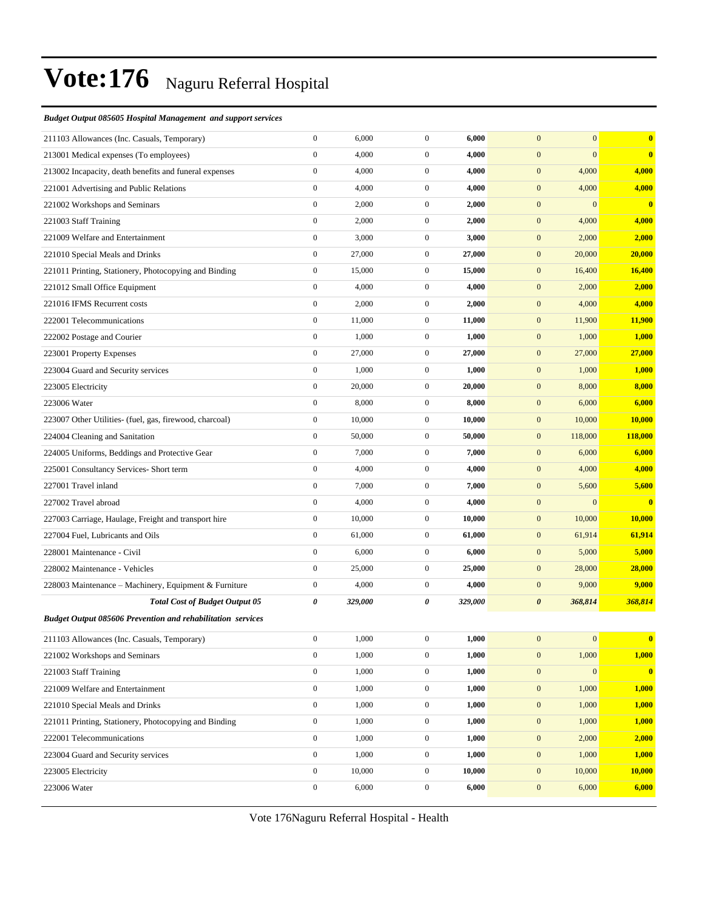#### *Budget Output 085605 Hospital Management and support services*

| 211103 Allowances (Inc. Casuals, Temporary)                 | $\boldsymbol{0}$ | 6,000   | $\boldsymbol{0}$ | 6,000   | $\mathbf{0}$          | $\overline{0}$   | $\bf{0}$                |
|-------------------------------------------------------------|------------------|---------|------------------|---------|-----------------------|------------------|-------------------------|
| 213001 Medical expenses (To employees)                      | $\boldsymbol{0}$ | 4,000   | $\boldsymbol{0}$ | 4,000   | $\boldsymbol{0}$      | $\mathbf{0}$     | $\bf{0}$                |
| 213002 Incapacity, death benefits and funeral expenses      | $\boldsymbol{0}$ | 4,000   | $\mathbf{0}$     | 4,000   | $\boldsymbol{0}$      | 4,000            | 4,000                   |
| 221001 Advertising and Public Relations                     | $\boldsymbol{0}$ | 4,000   | $\boldsymbol{0}$ | 4,000   | $\boldsymbol{0}$      | 4,000            | 4,000                   |
| 221002 Workshops and Seminars                               | $\boldsymbol{0}$ | 2,000   | $\boldsymbol{0}$ | 2,000   | $\mathbf{0}$          | $\overline{0}$   | $\mathbf{0}$            |
| 221003 Staff Training                                       | $\boldsymbol{0}$ | 2,000   | $\mathbf{0}$     | 2,000   | $\mathbf{0}$          | 4,000            | 4,000                   |
| 221009 Welfare and Entertainment                            | $\boldsymbol{0}$ | 3,000   | $\mathbf{0}$     | 3,000   | $\boldsymbol{0}$      | 2,000            | 2,000                   |
| 221010 Special Meals and Drinks                             | $\boldsymbol{0}$ | 27,000  | $\mathbf{0}$     | 27,000  | $\boldsymbol{0}$      | 20,000           | 20,000                  |
| 221011 Printing, Stationery, Photocopying and Binding       | $\boldsymbol{0}$ | 15,000  | $\boldsymbol{0}$ | 15,000  | $\boldsymbol{0}$      | 16,400           | 16,400                  |
| 221012 Small Office Equipment                               | $\boldsymbol{0}$ | 4,000   | $\boldsymbol{0}$ | 4,000   | $\boldsymbol{0}$      | 2,000            | 2,000                   |
| 221016 IFMS Recurrent costs                                 | $\boldsymbol{0}$ | 2,000   | $\mathbf{0}$     | 2,000   | $\mathbf{0}$          | 4,000            | 4,000                   |
| 222001 Telecommunications                                   | $\boldsymbol{0}$ | 11,000  | $\mathbf{0}$     | 11,000  | $\boldsymbol{0}$      | 11,900           | 11,900                  |
| 222002 Postage and Courier                                  | $\boldsymbol{0}$ | 1,000   | $\mathbf{0}$     | 1,000   | $\boldsymbol{0}$      | 1,000            | 1,000                   |
| 223001 Property Expenses                                    | $\boldsymbol{0}$ | 27,000  | $\boldsymbol{0}$ | 27,000  | $\boldsymbol{0}$      | 27,000           | 27,000                  |
| 223004 Guard and Security services                          | $\boldsymbol{0}$ | 1,000   | $\mathbf{0}$     | 1,000   | $\boldsymbol{0}$      | 1,000            | 1,000                   |
| 223005 Electricity                                          | $\boldsymbol{0}$ | 20,000  | $\mathbf{0}$     | 20,000  | $\mathbf{0}$          | 8,000            | 8,000                   |
| 223006 Water                                                | $\boldsymbol{0}$ | 8,000   | $\mathbf{0}$     | 8,000   | $\boldsymbol{0}$      | 6,000            | 6,000                   |
| 223007 Other Utilities- (fuel, gas, firewood, charcoal)     | $\boldsymbol{0}$ | 10,000  | $\mathbf{0}$     | 10,000  | $\boldsymbol{0}$      | 10,000           | 10,000                  |
| 224004 Cleaning and Sanitation                              | $\boldsymbol{0}$ | 50,000  | $\boldsymbol{0}$ | 50,000  | $\boldsymbol{0}$      | 118,000          | <b>118,000</b>          |
| 224005 Uniforms, Beddings and Protective Gear               | $\boldsymbol{0}$ | 7,000   | $\mathbf{0}$     | 7,000   | $\boldsymbol{0}$      | 6,000            | 6,000                   |
| 225001 Consultancy Services- Short term                     | $\boldsymbol{0}$ | 4,000   | $\mathbf{0}$     | 4,000   | $\boldsymbol{0}$      | 4,000            | 4,000                   |
| 227001 Travel inland                                        | $\boldsymbol{0}$ | 7,000   | $\mathbf{0}$     | 7,000   | $\boldsymbol{0}$      | 5,600            | 5,600                   |
| 227002 Travel abroad                                        | $\boldsymbol{0}$ | 4,000   | $\mathbf{0}$     | 4,000   | $\boldsymbol{0}$      | $\overline{0}$   | $\bf{0}$                |
| 227003 Carriage, Haulage, Freight and transport hire        | $\boldsymbol{0}$ | 10,000  | $\boldsymbol{0}$ | 10,000  | $\boldsymbol{0}$      | 10,000           | 10,000                  |
| 227004 Fuel, Lubricants and Oils                            | $\boldsymbol{0}$ | 61,000  | $\mathbf{0}$     | 61,000  | $\boldsymbol{0}$      | 61,914           | 61,914                  |
| 228001 Maintenance - Civil                                  | $\boldsymbol{0}$ | 6,000   | $\mathbf{0}$     | 6,000   | $\boldsymbol{0}$      | 5,000            | 5,000                   |
| 228002 Maintenance - Vehicles                               | $\boldsymbol{0}$ | 25,000  | $\mathbf{0}$     | 25,000  | $\boldsymbol{0}$      | 28,000           | 28,000                  |
| 228003 Maintenance - Machinery, Equipment & Furniture       | $\boldsymbol{0}$ | 4,000   | $\mathbf{0}$     | 4,000   | $\boldsymbol{0}$      | 9,000            | 9,000                   |
| <b>Total Cost of Budget Output 05</b>                       | $\pmb{\theta}$   | 329,000 | 0                | 329,000 | $\boldsymbol{\theta}$ | 368,814          | 368,814                 |
| Budget Output 085606 Prevention and rehabilitation services |                  |         |                  |         |                       |                  |                         |
| 211103 Allowances (Inc. Casuals, Temporary)                 | $\boldsymbol{0}$ | 1,000   | $\mathbf{0}$     | 1,000   | $\mathbf{0}$          | $\vert 0 \vert$  | $\overline{\mathbf{0}}$ |
| 221002 Workshops and Seminars                               | $\boldsymbol{0}$ | 1,000   | $\boldsymbol{0}$ | 1,000   | $\boldsymbol{0}$      | 1,000            | 1,000                   |
| 221003 Staff Training                                       | $\boldsymbol{0}$ | 1,000   | $\boldsymbol{0}$ | 1,000   | $\boldsymbol{0}$      | $\boldsymbol{0}$ | $\mathbf{0}$            |
| 221009 Welfare and Entertainment                            | $\boldsymbol{0}$ | 1,000   | $\boldsymbol{0}$ | 1,000   | $\boldsymbol{0}$      | 1,000            | 1,000                   |
| 221010 Special Meals and Drinks                             | $\boldsymbol{0}$ | 1,000   | $\boldsymbol{0}$ | 1,000   | $\boldsymbol{0}$      | 1,000            | 1,000                   |
| 221011 Printing, Stationery, Photocopying and Binding       | $\boldsymbol{0}$ | 1,000   | $\boldsymbol{0}$ | 1,000   | $\boldsymbol{0}$      | 1,000            | 1,000                   |
| 222001 Telecommunications                                   | $\boldsymbol{0}$ | 1,000   | $\boldsymbol{0}$ | 1,000   | $\boldsymbol{0}$      | 2,000            | 2,000                   |
| 223004 Guard and Security services                          | $\boldsymbol{0}$ | 1,000   | $\boldsymbol{0}$ | 1,000   | $\boldsymbol{0}$      | 1,000            | 1,000                   |
| 223005 Electricity                                          | $\boldsymbol{0}$ | 10,000  | $\boldsymbol{0}$ | 10,000  | $\boldsymbol{0}$      | 10,000           | 10,000                  |
| 223006 Water                                                | $\boldsymbol{0}$ | 6,000   | $\boldsymbol{0}$ | 6,000   | $\boldsymbol{0}$      | 6,000            | 6,000                   |
|                                                             |                  |         |                  |         |                       |                  |                         |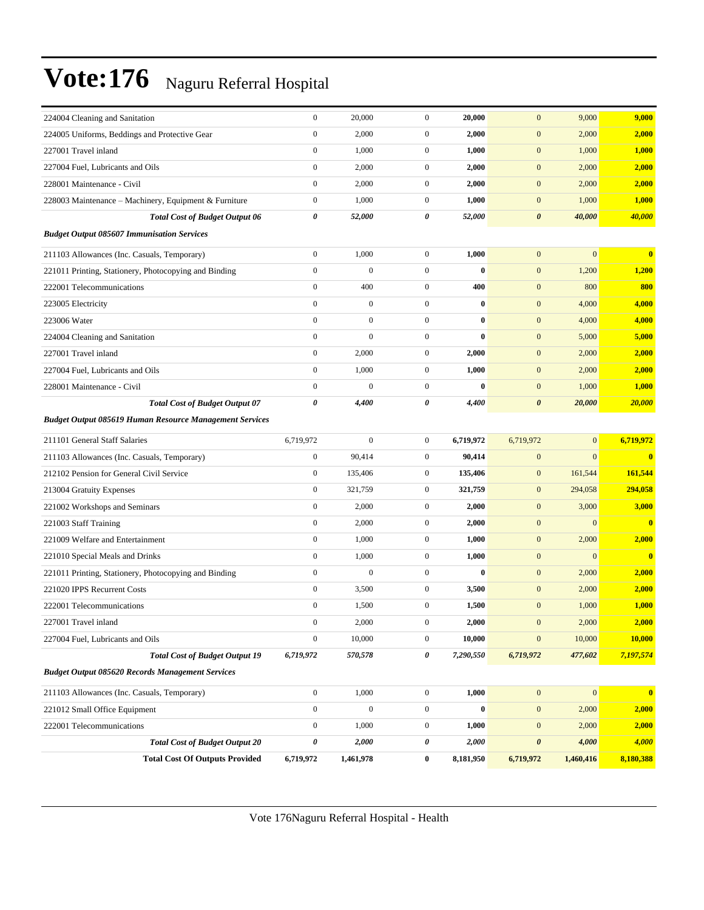| 224004 Cleaning and Sanitation                                 | $\boldsymbol{0}$ | 20,000           | $\mathbf{0}$     | 20,000    | $\mathbf{0}$          | 9,000            | 9,000        |
|----------------------------------------------------------------|------------------|------------------|------------------|-----------|-----------------------|------------------|--------------|
| 224005 Uniforms, Beddings and Protective Gear                  | $\boldsymbol{0}$ | 2,000            | $\mathbf{0}$     | 2,000     | $\mathbf{0}$          | 2,000            | 2,000        |
| 227001 Travel inland                                           | $\boldsymbol{0}$ | 1,000            | $\mathbf{0}$     | 1,000     | $\mathbf{0}$          | 1,000            | 1,000        |
| 227004 Fuel. Lubricants and Oils                               | $\boldsymbol{0}$ | 2,000            | $\mathbf{0}$     | 2,000     | $\boldsymbol{0}$      | 2,000            | 2,000        |
| 228001 Maintenance - Civil                                     | $\overline{0}$   | 2,000            | $\mathbf{0}$     | 2,000     | $\mathbf{0}$          | 2,000            | 2,000        |
| 228003 Maintenance - Machinery, Equipment & Furniture          | $\boldsymbol{0}$ | 1,000            | $\mathbf{0}$     | 1,000     | $\mathbf{0}$          | 1,000            | 1,000        |
| <b>Total Cost of Budget Output 06</b>                          | 0                | 52,000           | 0                | 52,000    | $\boldsymbol{\theta}$ | 40,000           | 40,000       |
| <b>Budget Output 085607 Immunisation Services</b>              |                  |                  |                  |           |                       |                  |              |
| 211103 Allowances (Inc. Casuals, Temporary)                    | $\boldsymbol{0}$ | 1,000            | $\mathbf{0}$     | 1,000     | $\mathbf{0}$          | $\overline{0}$   | $\bf{0}$     |
| 221011 Printing, Stationery, Photocopying and Binding          | $\boldsymbol{0}$ | $\mathbf{0}$     | $\mathbf{0}$     | $\bf{0}$  | $\boldsymbol{0}$      | 1,200            | 1,200        |
| 222001 Telecommunications                                      | $\boldsymbol{0}$ | 400              | $\mathbf{0}$     | 400       | $\mathbf{0}$          | 800              | 800          |
| 223005 Electricity                                             | $\overline{0}$   | $\boldsymbol{0}$ | $\mathbf{0}$     | $\bf{0}$  | $\mathbf{0}$          | 4,000            | 4,000        |
| 223006 Water                                                   | $\boldsymbol{0}$ | $\mathbf{0}$     | $\mathbf{0}$     | $\bf{0}$  | $\mathbf{0}$          | 4,000            | 4,000        |
| 224004 Cleaning and Sanitation                                 | $\boldsymbol{0}$ | $\mathbf{0}$     | $\mathbf{0}$     | $\bf{0}$  | $\mathbf{0}$          | 5,000            | 5,000        |
| 227001 Travel inland                                           | $\boldsymbol{0}$ | 2,000            | $\mathbf{0}$     | 2,000     | $\boldsymbol{0}$      | 2,000            | 2,000        |
| 227004 Fuel, Lubricants and Oils                               | $\boldsymbol{0}$ | 1,000            | $\mathbf{0}$     | 1,000     | $\mathbf{0}$          | 2,000            | 2,000        |
| 228001 Maintenance - Civil                                     | $\overline{0}$   | $\mathbf{0}$     | $\mathbf{0}$     | $\bf{0}$  | $\mathbf{0}$          | 1,000            | 1,000        |
| <b>Total Cost of Budget Output 07</b>                          | 0                | 4,400            | 0                | 4,400     | $\boldsymbol{\theta}$ | 20,000           | 20,000       |
| <b>Budget Output 085619 Human Resource Management Services</b> |                  |                  |                  |           |                       |                  |              |
| 211101 General Staff Salaries                                  | 6,719,972        | $\mathbf{0}$     | $\mathbf{0}$     | 6,719,972 | 6,719,972             | $\overline{0}$   | 6,719,972    |
| 211103 Allowances (Inc. Casuals, Temporary)                    | $\boldsymbol{0}$ | 90,414           | $\mathbf{0}$     | 90,414    | $\mathbf{0}$          | $\Omega$         | $\bf{0}$     |
| 212102 Pension for General Civil Service                       | $\boldsymbol{0}$ | 135,406          | $\mathbf{0}$     | 135,406   | $\mathbf{0}$          | 161,544          | 161,544      |
| 213004 Gratuity Expenses                                       | $\boldsymbol{0}$ | 321,759          | $\mathbf{0}$     | 321,759   | $\mathbf{0}$          | 294,058          | 294,058      |
| 221002 Workshops and Seminars                                  | $\boldsymbol{0}$ | 2,000            | $\mathbf{0}$     | 2,000     | $\mathbf{0}$          | 3,000            | 3,000        |
| 221003 Staff Training                                          | $\boldsymbol{0}$ | 2,000            | $\mathbf{0}$     | 2,000     | $\mathbf{0}$          | $\overline{0}$   | $\mathbf{0}$ |
| 221009 Welfare and Entertainment                               | $\overline{0}$   | 1,000            | $\mathbf{0}$     | 1,000     | $\boldsymbol{0}$      | 2,000            | 2,000        |
| 221010 Special Meals and Drinks                                | $\overline{0}$   | 1,000            | $\mathbf{0}$     | 1,000     | $\mathbf{0}$          | $\overline{0}$   | $\bf{0}$     |
| 221011 Printing, Stationery, Photocopying and Binding          | $\boldsymbol{0}$ | $\boldsymbol{0}$ | $\boldsymbol{0}$ | $\bf{0}$  | $\mathbf{0}$          | 2,000            | 2,000        |
| 221020 IPPS Recurrent Costs                                    | $\boldsymbol{0}$ | 3,500            | $\mathbf{0}$     | 3,500     | $\mathbf{0}$          | 2,000            | 2,000        |
| 222001 Telecommunications                                      | $\boldsymbol{0}$ | 1,500            | $\mathbf{0}$     | 1,500     | $\mathbf{0}$          | 1,000            | 1,000        |
| 227001 Travel inland                                           | $\boldsymbol{0}$ | 2,000            | $\boldsymbol{0}$ | 2,000     | $\mathbf{0}$          | 2,000            | 2,000        |
| 227004 Fuel, Lubricants and Oils                               | $\boldsymbol{0}$ | 10,000           | $\mathbf{0}$     | 10,000    | $\boldsymbol{0}$      | 10,000           | 10,000       |
| <b>Total Cost of Budget Output 19</b>                          | 6,719,972        | 570,578          | 0                | 7,290,550 | 6,719,972             | 477,602          | 7,197,574    |
| <b>Budget Output 085620 Records Management Services</b>        |                  |                  |                  |           |                       |                  |              |
| 211103 Allowances (Inc. Casuals, Temporary)                    | $\boldsymbol{0}$ | 1,000            | $\boldsymbol{0}$ | 1,000     | $\mathbf{0}$          | $\boldsymbol{0}$ | $\mathbf{0}$ |
| 221012 Small Office Equipment                                  | $\boldsymbol{0}$ | $\boldsymbol{0}$ | $\boldsymbol{0}$ | $\bf{0}$  | $\boldsymbol{0}$      | 2,000            | 2,000        |
| 222001 Telecommunications                                      | $\boldsymbol{0}$ | 1,000            | $\boldsymbol{0}$ | 1,000     | $\boldsymbol{0}$      | 2,000            | 2,000        |
| <b>Total Cost of Budget Output 20</b>                          | 0                | 2,000            | 0                | 2,000     | $\boldsymbol{\theta}$ | 4,000            | 4,000        |
| <b>Total Cost Of Outputs Provided</b>                          | 6,719,972        | 1,461,978        | $\bf{0}$         | 8,181,950 | 6,719,972             | 1,460,416        | 8,180,388    |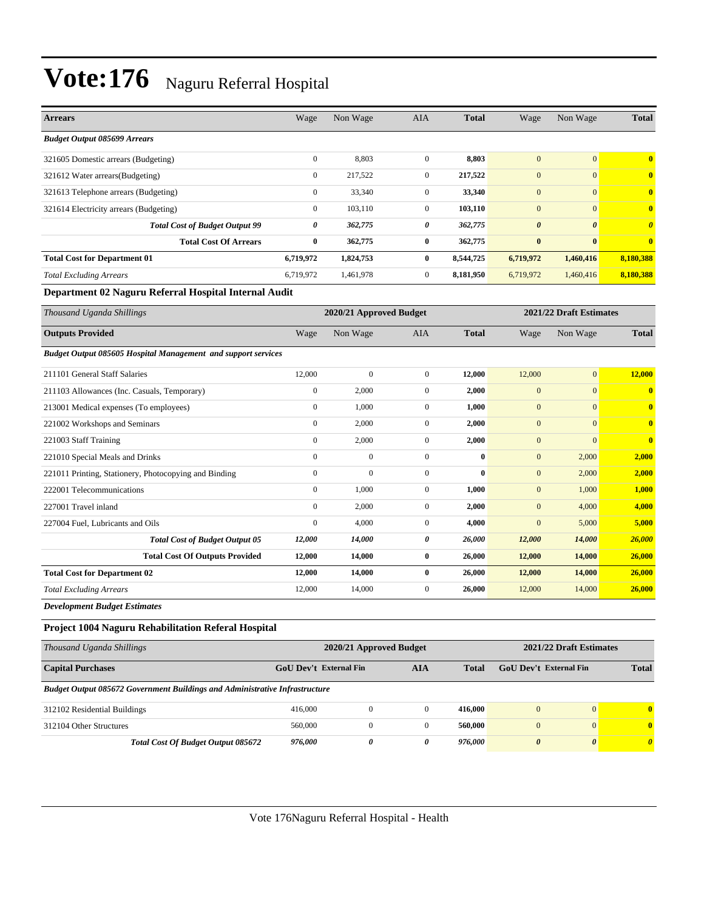| <b>Arrears</b>                         | Wage           | Non Wage  | AIA            | <b>Total</b> | Wage                  | Non Wage              | <b>Total</b>            |
|----------------------------------------|----------------|-----------|----------------|--------------|-----------------------|-----------------------|-------------------------|
| <b>Budget Output 085699 Arrears</b>    |                |           |                |              |                       |                       |                         |
| 321605 Domestic arrears (Budgeting)    | $\mathbf{0}$   | 8,803     | $\mathbf{0}$   | 8,803        | $\mathbf{0}$          | $\vert 0 \vert$       | $\mathbf{0}$            |
| 321612 Water arrears (Budgeting)       | $\mathbf{0}$   | 217,522   | $\Omega$       | 217,522      | $\mathbf{0}$          | $\overline{0}$        | $\mathbf{0}$            |
| 321613 Telephone arrears (Budgeting)   | $\mathbf{0}$   | 33,340    | $\overline{0}$ | 33,340       | $\mathbf{0}$          | $\overline{0}$        | $\overline{\mathbf{0}}$ |
| 321614 Electricity arrears (Budgeting) | $\overline{0}$ | 103,110   | $\overline{0}$ | 103,110      | $\mathbf{0}$          | $\vert 0 \vert$       | $\mathbf{0}$            |
| <b>Total Cost of Budget Output 99</b>  | 0              | 362,775   | 0              | 362,775      | $\boldsymbol{\theta}$ | $\boldsymbol{\theta}$ | $\boldsymbol{\theta}$   |
| <b>Total Cost Of Arrears</b>           | $\bf{0}$       | 362,775   | $\bf{0}$       | 362,775      | $\bf{0}$              | $\bf{0}$              | $\mathbf{0}$            |
| <b>Total Cost for Department 01</b>    | 6,719,972      | 1,824,753 | $\bf{0}$       | 8,544,725    | 6,719,972             | 1,460,416             | 8,180,388               |
| <b>Total Excluding Arrears</b>         | 6,719,972      | 1,461,978 | $\mathbf{0}$   | 8,181,950    | 6,719,972             | 1,460,416             | 8,180,388               |

#### **Department 02 Naguru Referral Hospital Internal Audit**

| Thousand Uganda Shillings                                     |                  | 2020/21 Approved Budget |                  |              |              | 2021/22 Draft Estimates |              |
|---------------------------------------------------------------|------------------|-------------------------|------------------|--------------|--------------|-------------------------|--------------|
| <b>Outputs Provided</b>                                       | Wage             | Non Wage                | <b>AIA</b>       | <b>Total</b> | Wage         | Non Wage                | <b>Total</b> |
| Budget Output 085605 Hospital Management and support services |                  |                         |                  |              |              |                         |              |
| 211101 General Staff Salaries                                 | 12,000           | $\overline{0}$          | $\overline{0}$   | 12,000       | 12,000       | $\overline{0}$          | 12,000       |
| 211103 Allowances (Inc. Casuals, Temporary)                   | $\boldsymbol{0}$ | 2,000                   | $\mathbf{0}$     | 2,000        | $\mathbf{0}$ | $\mathbf{0}$            | $\mathbf{0}$ |
| 213001 Medical expenses (To employees)                        | $\mathbf{0}$     | 1,000                   | $\mathbf{0}$     | 1.000        | $\mathbf{0}$ | $\mathbf{0}$            | $\mathbf{0}$ |
| 221002 Workshops and Seminars                                 | $\overline{0}$   | 2,000                   | $\mathbf{0}$     | 2,000        | $\mathbf{0}$ | $\mathbf{0}$            | $\mathbf{0}$ |
| 221003 Staff Training                                         | $\boldsymbol{0}$ | 2,000                   | 0                | 2,000        | $\mathbf{0}$ | $\mathbf{0}$            | $\mathbf{0}$ |
| 221010 Special Meals and Drinks                               | $\mathbf{0}$     | $\mathbf{0}$            | $\boldsymbol{0}$ | $\bf{0}$     | $\mathbf{0}$ | 2,000                   | 2,000        |
| 221011 Printing, Stationery, Photocopying and Binding         | $\mathbf{0}$     | $\mathbf{0}$            | 0                | $\bf{0}$     | $\mathbf{0}$ | 2,000                   | 2,000        |
| 222001 Telecommunications                                     | $\overline{0}$   | 1,000                   | $\mathbf{0}$     | 1,000        | $\mathbf{0}$ | 1,000                   | 1,000        |
| 227001 Travel inland                                          | $\mathbf{0}$     | 2,000                   | $\mathbf{0}$     | 2,000        | $\mathbf{0}$ | 4,000                   | 4,000        |
| 227004 Fuel, Lubricants and Oils                              | $\mathbf{0}$     | 4,000                   | $\mathbf{0}$     | 4,000        | $\mathbf{0}$ | 5,000                   | 5,000        |
| <b>Total Cost of Budget Output 05</b>                         | 12,000           | 14,000                  | 0                | 26,000       | 12,000       | 14,000                  | 26,000       |
| <b>Total Cost Of Outputs Provided</b>                         | 12,000           | 14,000                  | $\bf{0}$         | 26,000       | 12,000       | 14,000                  | 26,000       |
| <b>Total Cost for Department 02</b>                           | 12,000           | 14,000                  | $\bf{0}$         | 26,000       | 12,000       | 14,000                  | 26,000       |
| <b>Total Excluding Arrears</b>                                | 12,000           | 14,000                  | $\overline{0}$   | 26,000       | 12,000       | 14,000                  | 26,000       |
| <b>Development Budget Estimates</b>                           |                  |                         |                  |              |              |                         |              |

#### **Project 1004 Naguru Rehabilitation Referal Hospital**

| Thousand Uganda Shillings                                                          |                                               | 2020/21 Approved Budget | 2021/22 Draft Estimates |         |                        |              |          |
|------------------------------------------------------------------------------------|-----------------------------------------------|-------------------------|-------------------------|---------|------------------------|--------------|----------|
| <b>Capital Purchases</b>                                                           | GoU Dev't External Fin<br>AIA<br><b>Total</b> |                         |                         |         | GoU Dev't External Fin | <b>Total</b> |          |
| <b>Budget Output 085672 Government Buildings and Administrative Infrastructure</b> |                                               |                         |                         |         |                        |              |          |
| 312102 Residential Buildings                                                       | 416,000                                       | $\mathbf{0}$            | $\Omega$                | 416.000 | $\overline{0}$         | $\mathbf{0}$ | 0        |
| 312104 Other Structures                                                            | 560,000                                       | $\mathbf{0}$            | $\Omega$                | 560,000 | $\mathbf{0}$           | $\mathbf{0}$ | $\bf{0}$ |
| Total Cost Of Budget Output 085672                                                 | 976.000                                       | 0                       | 0                       | 976.000 | $\boldsymbol{\theta}$  | $\theta$     | 0        |